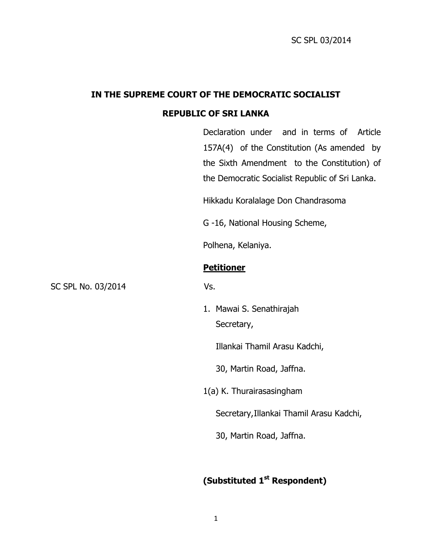# **IN THE SUPREME COURT OF THE DEMOCRATIC SOCIALIST**

## **REPUBLIC OF SRI LANKA**

Declaration under and in terms of Article 157A(4) of the Constitution (As amended by the Sixth Amendment to the Constitution) of the Democratic Socialist Republic of Sri Lanka.

Hikkadu Koralalage Don Chandrasoma

G -16, National Housing Scheme,

Polhena, Kelaniya.

### **Petitioner**

SC SPL No. 03/2014 Vs.

1. Mawai S. Senathirajah Secretary,

Illankai Thamil Arasu Kadchi,

30, Martin Road, Jaffna.

1(a) K. Thurairasasingham

Secretary,Illankai Thamil Arasu Kadchi,

30, Martin Road, Jaffna.

# **(Substituted 1st Respondent)**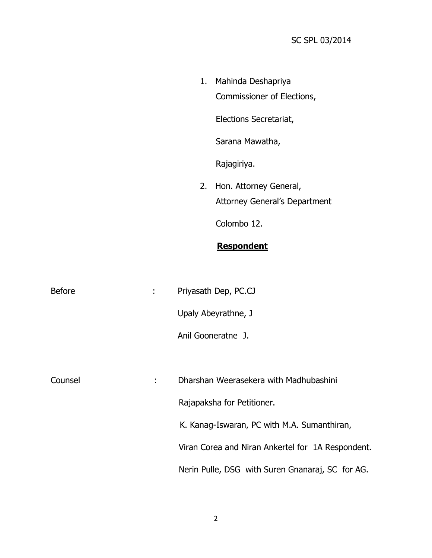|  | <b>Respondent</b>                                                 |
|--|-------------------------------------------------------------------|
|  | Colombo 12.                                                       |
|  | 2. Hon. Attorney General,<br><b>Attorney General's Department</b> |
|  |                                                                   |
|  | Rajagiriya.                                                       |
|  | Sarana Mawatha,                                                   |
|  | Elections Secretariat,                                            |
|  | Commissioner of Elections,                                        |
|  | 1. Mahinda Deshapriya                                             |

| <b>Before</b> | t | Priyasath Dep, PC.CJ                              |  |
|---------------|---|---------------------------------------------------|--|
|               |   | Upaly Abeyrathne, J                               |  |
|               |   | Anil Gooneratne J.                                |  |
|               |   |                                                   |  |
| Counsel<br>÷  |   | Dharshan Weerasekera with Madhubashini            |  |
|               |   | Rajapaksha for Petitioner.                        |  |
|               |   | K. Kanag-Iswaran, PC with M.A. Sumanthiran,       |  |
|               |   | Viran Corea and Niran Ankertel for 1A Respondent. |  |
|               |   | Nerin Pulle, DSG with Suren Gnanaraj, SC for AG.  |  |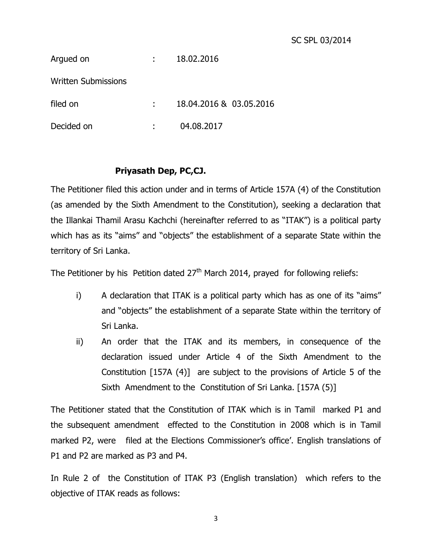| Argued on                  | t.                         | 18.02.2016              |
|----------------------------|----------------------------|-------------------------|
| <b>Written Submissions</b> |                            |                         |
| filed on                   | $\mathcal{L}^{\text{max}}$ | 18.04.2016 & 03.05.2016 |
| Decided on                 |                            | 04.08.2017              |

# **Priyasath Dep, PC,CJ.**

The Petitioner filed this action under and in terms of Article 157A (4) of the Constitution (as amended by the Sixth Amendment to the Constitution), seeking a declaration that the Illankai Thamil Arasu Kachchi (hereinafter referred to as "ITAK") is a political party which has as its "aims" and "objects" the establishment of a separate State within the territory of Sri Lanka.

The Petitioner by his Petition dated  $27<sup>th</sup>$  March 2014, prayed for following reliefs:

- i) A declaration that ITAK is a political party which has as one of its "aims" and "objects" the establishment of a separate State within the territory of Sri Lanka.
- ii) An order that the ITAK and its members, in consequence of the declaration issued under Article 4 of the Sixth Amendment to the Constitution [157A (4)] are subject to the provisions of Article 5 of the Sixth Amendment to the Constitution of Sri Lanka. [157A (5)]

The Petitioner stated that the Constitution of ITAK which is in Tamil marked P1 and the subsequent amendment effected to the Constitution in 2008 which is in Tamil marked P2, were filed at the Elections Commissioner's office'. English translations of P1 and P2 are marked as P3 and P4.

In Rule 2 of the Constitution of ITAK P3 (English translation) which refers to the objective of ITAK reads as follows: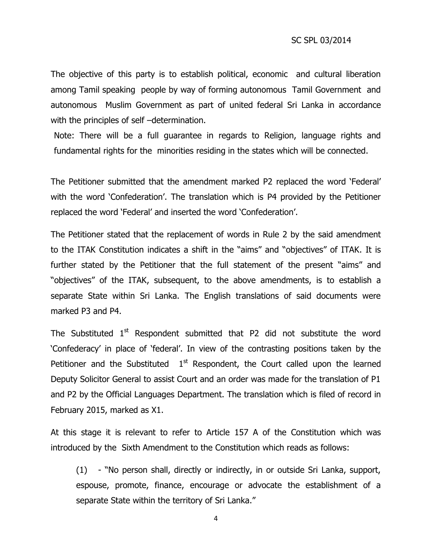The objective of this party is to establish political, economic and cultural liberation among Tamil speaking people by way of forming autonomous Tamil Government and autonomous Muslim Government as part of united federal Sri Lanka in accordance with the principles of self –determination.

Note: There will be a full guarantee in regards to Religion, language rights and fundamental rights for the minorities residing in the states which will be connected.

The Petitioner submitted that the amendment marked P2 replaced the word 'Federal' with the word 'Confederation'. The translation which is P4 provided by the Petitioner replaced the word 'Federal' and inserted the word 'Confederation'.

The Petitioner stated that the replacement of words in Rule 2 by the said amendment to the ITAK Constitution indicates a shift in the "aims" and "objectives" of ITAK. It is further stated by the Petitioner that the full statement of the present "aims" and "objectives" of the ITAK, subsequent, to the above amendments, is to establish a separate State within Sri Lanka. The English translations of said documents were marked P3 and P4.

The Substituted  $1<sup>st</sup>$  Respondent submitted that P2 did not substitute the word 'Confederacy' in place of 'federal'. In view of the contrasting positions taken by the Petitioner and the Substituted  $1<sup>st</sup>$  Respondent, the Court called upon the learned Deputy Solicitor General to assist Court and an order was made for the translation of P1 and P2 by the Official Languages Department. The translation which is filed of record in February 2015, marked as X1.

At this stage it is relevant to refer to Article 157 A of the Constitution which was introduced by the Sixth Amendment to the Constitution which reads as follows:

(1) - "No person shall, directly or indirectly, in or outside Sri Lanka, support, espouse, promote, finance, encourage or advocate the establishment of a separate State within the territory of Sri Lanka."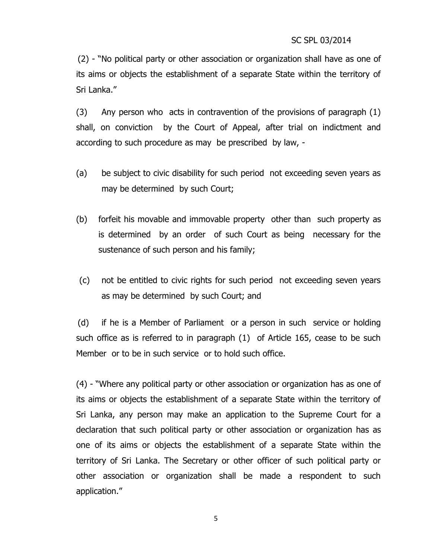(2) - "No political party or other association or organization shall have as one of its aims or objects the establishment of a separate State within the territory of Sri Lanka."

(3) Any person who acts in contravention of the provisions of paragraph (1) shall, on conviction by the Court of Appeal, after trial on indictment and according to such procedure as may be prescribed by law, -

- (a) be subject to civic disability for such period not exceeding seven years as may be determined by such Court;
- (b) forfeit his movable and immovable property other than such property as is determined by an order of such Court as being necessary for the sustenance of such person and his family;
- (c) not be entitled to civic rights for such period not exceeding seven years as may be determined by such Court; and

(d) if he is a Member of Parliament or a person in such service or holding such office as is referred to in paragraph (1) of Article 165, cease to be such Member or to be in such service or to hold such office.

(4) - "Where any political party or other association or organization has as one of its aims or objects the establishment of a separate State within the territory of Sri Lanka, any person may make an application to the Supreme Court for a declaration that such political party or other association or organization has as one of its aims or objects the establishment of a separate State within the territory of Sri Lanka. The Secretary or other officer of such political party or other association or organization shall be made a respondent to such application."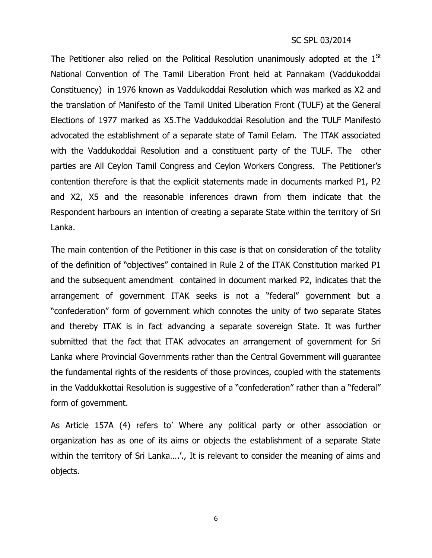The Petitioner also relied on the Political Resolution unanimously adopted at the  $1^{St}$ National Convention of The Tamil Liberation Front held at Pannakam (Vaddukoddai Constituency) in 1976 known as Vaddukoddai Resolution which was marked as X2 and the translation of Manifesto of the Tamil United Liberation Front (TULF) at the General Elections of 1977 marked as X5.The Vaddukoddai Resolution and the TULF Manifesto advocated the establishment of a separate state of Tamil Eelam. The ITAK associated with the Vaddukoddai Resolution and a constituent party of the TULF. The other parties are All Ceylon Tamil Congress and Ceylon Workers Congress. The Petitioner's contention therefore is that the explicit statements made in documents marked P1, P2 and X2, X5 and the reasonable inferences drawn from them indicate that the Respondent harbours an intention of creating a separate State within the territory of Sri Lanka.

The main contention of the Petitioner in this case is that on consideration of the totality of the definition of "objectives" contained in Rule 2 of the ITAK Constitution marked P1 and the subsequent amendment contained in document marked P2, indicates that the arrangement of government ITAK seeks is not a "federal" government but a "confederation" form of government which connotes the unity of two separate States and thereby ITAK is in fact advancing a separate sovereign State. It was further submitted that the fact that ITAK advocates an arrangement of government for Sri Lanka where Provincial Governments rather than the Central Government will guarantee the fundamental rights of the residents of those provinces, coupled with the statements in the Vaddukkottai Resolution is suggestive of a "confederation" rather than a "federal" form of government.

As Article 157A (4) refers to' Where any political party or other association or organization has as one of its aims or objects the establishment of a separate State within the territory of Sri Lanka....'., It is relevant to consider the meaning of aims and objects.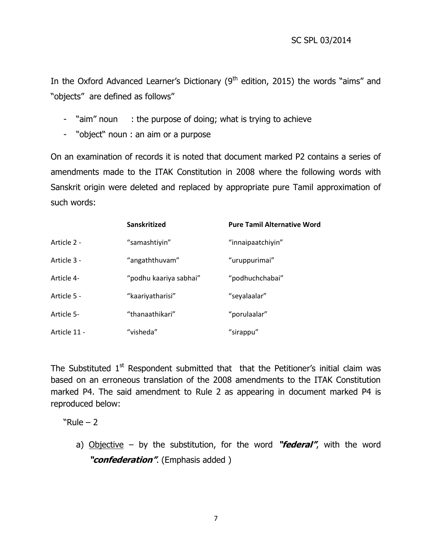In the Oxford Advanced Learner's Dictionary ( $9<sup>th</sup>$  edition, 2015) the words "aims" and "objects" are defined as follows"

- "aim" noun : the purpose of doing; what is trying to achieve
- "object" noun : an aim or a purpose

On an examination of records it is noted that document marked P2 contains a series of amendments made to the ITAK Constitution in 2008 where the following words with Sanskrit origin were deleted and replaced by appropriate pure Tamil approximation of such words:

|              | Sanskritized           | <b>Pure Tamil Alternative Word</b> |
|--------------|------------------------|------------------------------------|
| Article 2 -  | "samashtiyin"          | "innaipaatchiyin"                  |
| Article 3 -  | "angaththuvam"         | "uruppurimai"                      |
| Article 4-   | "podhu kaariya sabhai" | "podhuchchabai"                    |
| Article 5 -  | "kaariyatharisi"       | "seyalaalar"                       |
| Article 5-   | "thanaathikari"        | "porulaalar"                       |
| Article 11 - | "visheda"              | "sirappu"                          |

The Substituted  $1<sup>st</sup>$  Respondent submitted that that the Petitioner's initial claim was based on an erroneous translation of the 2008 amendments to the ITAK Constitution marked P4. The said amendment to Rule 2 as appearing in document marked P4 is reproduced below:

 $"Rule - 2"$ 

a) Objective – by the substitution, for the word **"federal"**, with the word **"confederation"**. (Emphasis added )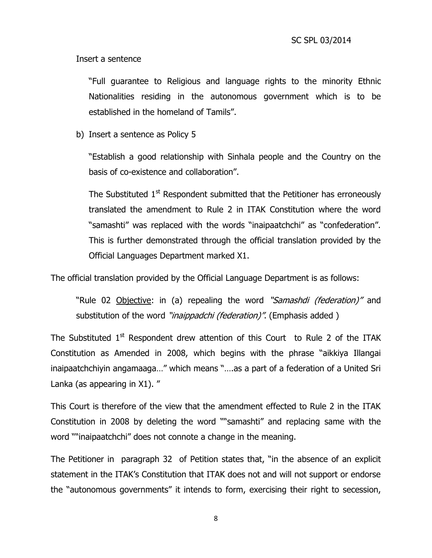Insert a sentence

"Full guarantee to Religious and language rights to the minority Ethnic Nationalities residing in the autonomous government which is to be established in the homeland of Tamils".

b) Insert a sentence as Policy 5

"Establish a good relationship with Sinhala people and the Country on the basis of co-existence and collaboration".

The Substituted  $1<sup>st</sup>$  Respondent submitted that the Petitioner has erroneously translated the amendment to Rule 2 in ITAK Constitution where the word "samashti" was replaced with the words "inaipaatchchi" as "confederation". This is further demonstrated through the official translation provided by the Official Languages Department marked X1.

The official translation provided by the Official Language Department is as follows:

"Rule 02 Objective: in (a) repealing the word "Samashdi (federation)" and substitution of the word "*inaippadchi (federation)*". (Emphasis added)

The Substituted  $1<sup>st</sup>$  Respondent drew attention of this Court to Rule 2 of the ITAK Constitution as Amended in 2008, which begins with the phrase "aikkiya Illangai inaipaatchchiyin angamaaga..." which means "....as a part of a federation of a United Sri Lanka (as appearing in X1). "

This Court is therefore of the view that the amendment effected to Rule 2 in the ITAK Constitution in 2008 by deleting the word ""samashti" and replacing same with the word ""inaipaatchchi" does not connote a change in the meaning.

The Petitioner in paragraph 32 of Petition states that, "in the absence of an explicit statement in the ITAK's Constitution that ITAK does not and will not support or endorse the "autonomous governments" it intends to form, exercising their right to secession,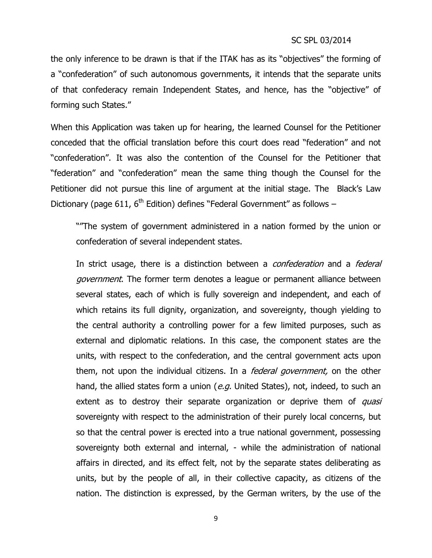the only inference to be drawn is that if the ITAK has as its "objectives" the forming of a "confederation" of such autonomous governments, it intends that the separate units of that confederacy remain Independent States, and hence, has the "objective" of forming such States."

When this Application was taken up for hearing, the learned Counsel for the Petitioner conceded that the official translation before this court does read "federation" and not "confederation". It was also the contention of the Counsel for the Petitioner that "federation" and "confederation" mean the same thing though the Counsel for the Petitioner did not pursue this line of argument at the initial stage. The Black's Law Dictionary (page 611,  $6<sup>th</sup>$  Edition) defines "Federal Government" as follows –

""The system of government administered in a nation formed by the union or confederation of several independent states.

In strict usage, there is a distinction between a *confederation* and a *federal* government. The former term denotes a league or permanent alliance between several states, each of which is fully sovereign and independent, and each of which retains its full dignity, organization, and sovereignty, though yielding to the central authority a controlling power for a few limited purposes, such as external and diplomatic relations. In this case, the component states are the units, with respect to the confederation, and the central government acts upon them, not upon the individual citizens. In a *federal government*, on the other hand, the allied states form a union (e.g. United States), not, indeed, to such an extent as to destroy their separate organization or deprive them of quasi sovereignty with respect to the administration of their purely local concerns, but so that the central power is erected into a true national government, possessing sovereignty both external and internal, - while the administration of national affairs in directed, and its effect felt, not by the separate states deliberating as units, but by the people of all, in their collective capacity, as citizens of the nation. The distinction is expressed, by the German writers, by the use of the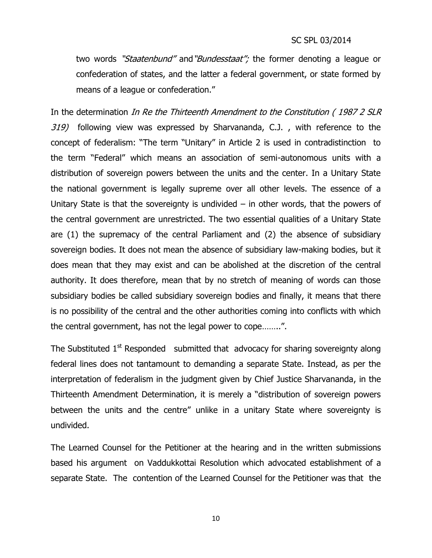two words "Staatenbund" and "Bundesstaat"; the former denoting a league or confederation of states, and the latter a federal government, or state formed by means of a league or confederation."

In the determination In Re the Thirteenth Amendment to the Constitution (1987 2 SLR 319) following view was expressed by Sharvananda, C.J., with reference to the concept of federalism: "The term "Unitary" in Article 2 is used in contradistinction to the term "Federal" which means an association of semi-autonomous units with a distribution of sovereign powers between the units and the center. In a Unitary State the national government is legally supreme over all other levels. The essence of a Unitary State is that the sovereignty is undivided  $-$  in other words, that the powers of the central government are unrestricted. The two essential qualities of a Unitary State are (1) the supremacy of the central Parliament and (2) the absence of subsidiary sovereign bodies. It does not mean the absence of subsidiary law-making bodies, but it does mean that they may exist and can be abolished at the discretion of the central authority. It does therefore, mean that by no stretch of meaning of words can those subsidiary bodies be called subsidiary sovereign bodies and finally, it means that there is no possibility of the central and the other authorities coming into conflicts with which the central government, has not the legal power to cope……..".

The Substituted  $1<sup>st</sup>$  Responded submitted that advocacy for sharing sovereignty along federal lines does not tantamount to demanding a separate State. Instead, as per the interpretation of federalism in the judgment given by Chief Justice Sharvananda, in the Thirteenth Amendment Determination, it is merely a "distribution of sovereign powers between the units and the centre" unlike in a unitary State where sovereignty is undivided.

The Learned Counsel for the Petitioner at the hearing and in the written submissions based his argument on Vaddukkottai Resolution which advocated establishment of a separate State. The contention of the Learned Counsel for the Petitioner was that the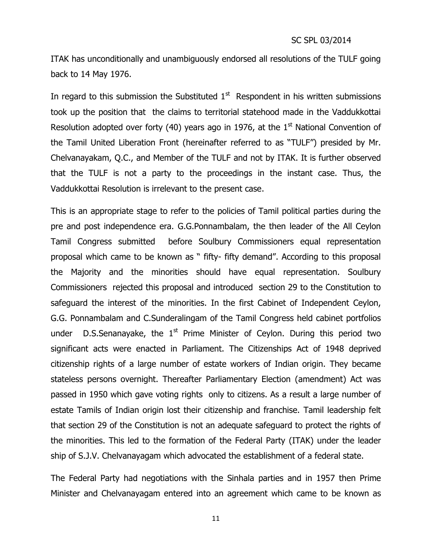ITAK has unconditionally and unambiguously endorsed all resolutions of the TULF going back to 14 May 1976.

In regard to this submission the Substituted  $1<sup>st</sup>$  Respondent in his written submissions took up the position that the claims to territorial statehood made in the Vaddukkottai Resolution adopted over forty (40) years ago in 1976, at the  $1<sup>st</sup>$  National Convention of the Tamil United Liberation Front (hereinafter referred to as "TULF") presided by Mr. Chelvanayakam, Q.C., and Member of the TULF and not by ITAK. It is further observed that the TULF is not a party to the proceedings in the instant case. Thus, the Vaddukkottai Resolution is irrelevant to the present case.

This is an appropriate stage to refer to the policies of Tamil political parties during the pre and post independence era. G.G.Ponnambalam, the then leader of the All Ceylon Tamil Congress submitted before Soulbury Commissioners equal representation proposal which came to be known as " fifty- fifty demand". According to this proposal the Majority and the minorities should have equal representation. Soulbury Commissioners rejected this proposal and introduced section 29 to the Constitution to safeguard the interest of the minorities. In the first Cabinet of Independent Ceylon, G.G. Ponnambalam and C.Sunderalingam of the Tamil Congress held cabinet portfolios under D.S.Senanayake, the  $1<sup>st</sup>$  Prime Minister of Ceylon. During this period two significant acts were enacted in Parliament. The Citizenships Act of 1948 deprived citizenship rights of a large number of estate workers of Indian origin. They became stateless persons overnight. Thereafter Parliamentary Election (amendment) Act was passed in 1950 which gave voting rights only to citizens. As a result a large number of estate Tamils of Indian origin lost their citizenship and franchise. Tamil leadership felt that section 29 of the Constitution is not an adequate safeguard to protect the rights of the minorities. This led to the formation of the Federal Party (ITAK) under the leader ship of S.J.V. Chelvanayagam which advocated the establishment of a federal state.

The Federal Party had negotiations with the Sinhala parties and in 1957 then Prime Minister and Chelvanayagam entered into an agreement which came to be known as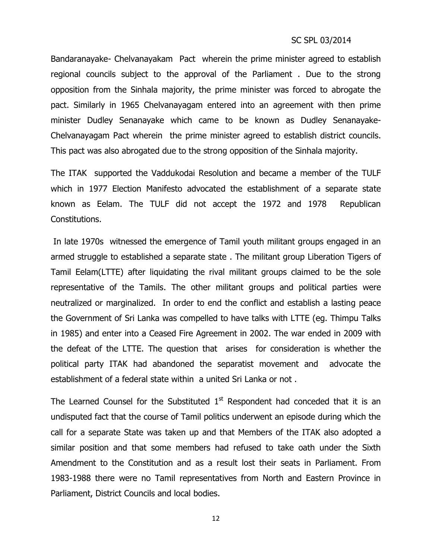Bandaranayake- Chelvanayakam Pact wherein the prime minister agreed to establish regional councils subject to the approval of the Parliament . Due to the strong opposition from the Sinhala majority, the prime minister was forced to abrogate the pact. Similarly in 1965 Chelvanayagam entered into an agreement with then prime minister Dudley Senanayake which came to be known as Dudley Senanayake-Chelvanayagam Pact wherein the prime minister agreed to establish district councils. This pact was also abrogated due to the strong opposition of the Sinhala majority.

The ITAK supported the Vaddukodai Resolution and became a member of the TULF which in 1977 Election Manifesto advocated the establishment of a separate state known as Eelam. The TULF did not accept the 1972 and 1978 Republican Constitutions.

In late 1970s witnessed the emergence of Tamil youth militant groups engaged in an armed struggle to established a separate state . The militant group Liberation Tigers of Tamil Eelam(LTTE) after liquidating the rival militant groups claimed to be the sole representative of the Tamils. The other militant groups and political parties were neutralized or marginalized. In order to end the conflict and establish a lasting peace the Government of Sri Lanka was compelled to have talks with LTTE (eg. Thimpu Talks in 1985) and enter into a Ceased Fire Agreement in 2002. The war ended in 2009 with the defeat of the LTTE. The question that arises for consideration is whether the political party ITAK had abandoned the separatist movement and advocate the establishment of a federal state within a united Sri Lanka or not .

The Learned Counsel for the Substituted  $1<sup>st</sup>$  Respondent had conceded that it is an undisputed fact that the course of Tamil politics underwent an episode during which the call for a separate State was taken up and that Members of the ITAK also adopted a similar position and that some members had refused to take oath under the Sixth Amendment to the Constitution and as a result lost their seats in Parliament. From 1983-1988 there were no Tamil representatives from North and Eastern Province in Parliament, District Councils and local bodies.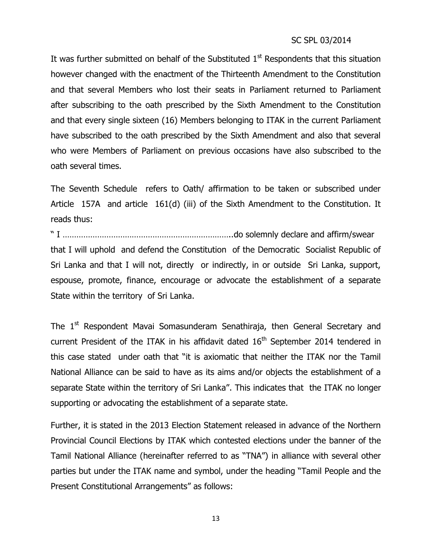It was further submitted on behalf of the Substituted  $1<sup>st</sup>$  Respondents that this situation however changed with the enactment of the Thirteenth Amendment to the Constitution and that several Members who lost their seats in Parliament returned to Parliament after subscribing to the oath prescribed by the Sixth Amendment to the Constitution and that every single sixteen (16) Members belonging to ITAK in the current Parliament have subscribed to the oath prescribed by the Sixth Amendment and also that several who were Members of Parliament on previous occasions have also subscribed to the oath several times.

The Seventh Schedule refers to Oath/ affirmation to be taken or subscribed under Article 157A and article 161(d) (iii) of the Sixth Amendment to the Constitution. It reads thus:

" I ………………………………………………………………..do solemnly declare and affirm/swear that I will uphold and defend the Constitution of the Democratic Socialist Republic of Sri Lanka and that I will not, directly or indirectly, in or outside Sri Lanka, support, espouse, promote, finance, encourage or advocate the establishment of a separate State within the territory of Sri Lanka.

The 1<sup>st</sup> Respondent Mavai Somasunderam Senathiraja, then General Secretary and current President of the ITAK in his affidavit dated  $16<sup>th</sup>$  September 2014 tendered in this case stated under oath that "it is axiomatic that neither the ITAK nor the Tamil National Alliance can be said to have as its aims and/or objects the establishment of a separate State within the territory of Sri Lanka". This indicates that the ITAK no longer supporting or advocating the establishment of a separate state.

Further, it is stated in the 2013 Election Statement released in advance of the Northern Provincial Council Elections by ITAK which contested elections under the banner of the Tamil National Alliance (hereinafter referred to as "TNA") in alliance with several other parties but under the ITAK name and symbol, under the heading "Tamil People and the Present Constitutional Arrangements" as follows: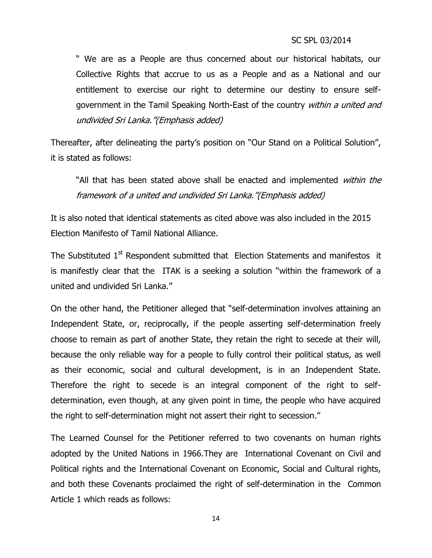" We are as a People are thus concerned about our historical habitats, our Collective Rights that accrue to us as a People and as a National and our entitlement to exercise our right to determine our destiny to ensure selfgovernment in the Tamil Speaking North-East of the country within a united and undivided Sri Lanka."(Emphasis added)

Thereafter, after delineating the party's position on "Our Stand on a Political Solution", it is stated as follows:

"All that has been stated above shall be enacted and implemented within the framework of a united and undivided Sri Lanka."(Emphasis added)

It is also noted that identical statements as cited above was also included in the 2015 Election Manifesto of Tamil National Alliance.

The Substituted 1<sup>st</sup> Respondent submitted that Election Statements and manifestos it is manifestly clear that the ITAK is a seeking a solution "within the framework of a united and undivided Sri Lanka."

On the other hand, the Petitioner alleged that "self-determination involves attaining an Independent State, or, reciprocally, if the people asserting self-determination freely choose to remain as part of another State, they retain the right to secede at their will, because the only reliable way for a people to fully control their political status, as well as their economic, social and cultural development, is in an Independent State. Therefore the right to secede is an integral component of the right to selfdetermination, even though, at any given point in time, the people who have acquired the right to self-determination might not assert their right to secession."

The Learned Counsel for the Petitioner referred to two covenants on human rights adopted by the United Nations in 1966.They are International Covenant on Civil and Political rights and the International Covenant on Economic, Social and Cultural rights, and both these Covenants proclaimed the right of self-determination in the Common Article 1 which reads as follows: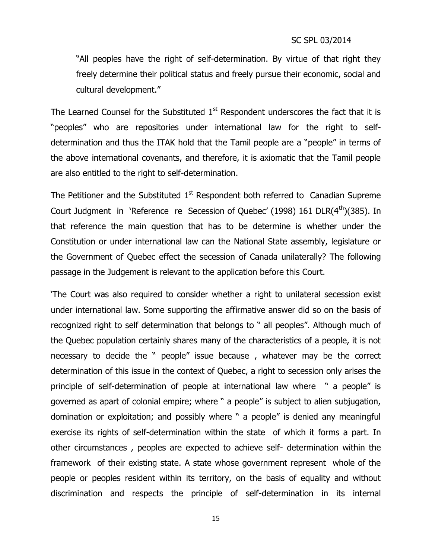"All peoples have the right of self-determination. By virtue of that right they freely determine their political status and freely pursue their economic, social and cultural development."

The Learned Counsel for the Substituted  $1<sup>st</sup>$  Respondent underscores the fact that it is "peoples" who are repositories under international law for the right to selfdetermination and thus the ITAK hold that the Tamil people are a "people" in terms of the above international covenants, and therefore, it is axiomatic that the Tamil people are also entitled to the right to self-determination.

The Petitioner and the Substituted  $1<sup>st</sup>$  Respondent both referred to Canadian Supreme Court Judgment in 'Reference re Secession of Quebec' (1998) 161 DLR(4<sup>th</sup>)(385). In that reference the main question that has to be determine is whether under the Constitution or under international law can the National State assembly, legislature or the Government of Quebec effect the secession of Canada unilaterally? The following passage in the Judgement is relevant to the application before this Court.

'The Court was also required to consider whether a right to unilateral secession exist under international law. Some supporting the affirmative answer did so on the basis of recognized right to self determination that belongs to " all peoples". Although much of the Quebec population certainly shares many of the characteristics of a people, it is not necessary to decide the " people" issue because , whatever may be the correct determination of this issue in the context of Quebec, a right to secession only arises the principle of self-determination of people at international law where " a people" is governed as apart of colonial empire; where " a people" is subject to alien subjugation, domination or exploitation; and possibly where " a people" is denied any meaningful exercise its rights of self-determination within the state of which it forms a part. In other circumstances , peoples are expected to achieve self- determination within the framework of their existing state. A state whose government represent whole of the people or peoples resident within its territory, on the basis of equality and without discrimination and respects the principle of self-determination in its internal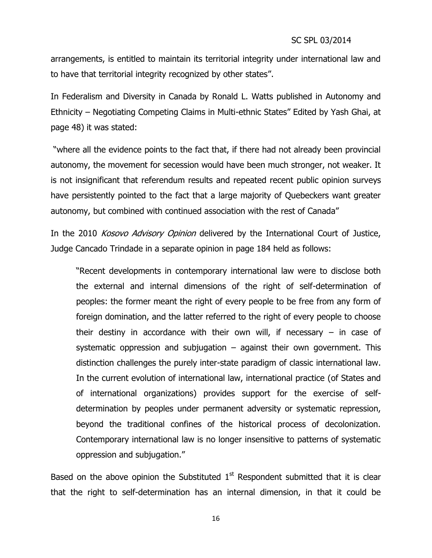arrangements, is entitled to maintain its territorial integrity under international law and to have that territorial integrity recognized by other states".

In Federalism and Diversity in Canada by Ronald L. Watts published in Autonomy and Ethnicity – Negotiating Competing Claims in Multi-ethnic States" Edited by Yash Ghai, at page 48) it was stated:

"where all the evidence points to the fact that, if there had not already been provincial autonomy, the movement for secession would have been much stronger, not weaker. It is not insignificant that referendum results and repeated recent public opinion surveys have persistently pointed to the fact that a large majority of Quebeckers want greater autonomy, but combined with continued association with the rest of Canada"

In the 2010 Kosovo Advisory Opinion delivered by the International Court of Justice, Judge Cancado Trindade in a separate opinion in page 184 held as follows:

"Recent developments in contemporary international law were to disclose both the external and internal dimensions of the right of self-determination of peoples: the former meant the right of every people to be free from any form of foreign domination, and the latter referred to the right of every people to choose their destiny in accordance with their own will, if necessary  $-$  in case of systematic oppression and subjugation  $-$  against their own government. This distinction challenges the purely inter-state paradigm of classic international law. In the current evolution of international law, international practice (of States and of international organizations) provides support for the exercise of selfdetermination by peoples under permanent adversity or systematic repression, beyond the traditional confines of the historical process of decolonization. Contemporary international law is no longer insensitive to patterns of systematic oppression and subjugation."

Based on the above opinion the Substituted  $1<sup>st</sup>$  Respondent submitted that it is clear that the right to self-determination has an internal dimension, in that it could be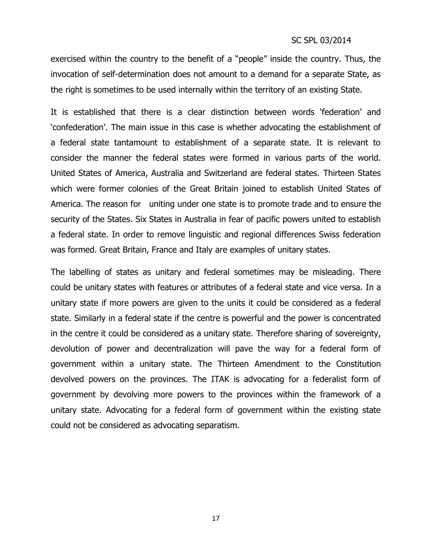exercised within the country to the benefit of a "people" inside the country. Thus, the invocation of self-determination does not amount to a demand for a separate State, as the right is sometimes to be used internally within the territory of an existing State.

It is established that there is a clear distinction between words 'federation' and 'confederation'. The main issue in this case is whether advocating the establishment of a federal state tantamount to establishment of a separate state. It is relevant to consider the manner the federal states were formed in various parts of the world. United States of America, Australia and Switzerland are federal states. Thirteen States which were former colonies of the Great Britain joined to establish United States of America. The reason for uniting under one state is to promote trade and to ensure the security of the States. Six States in Australia in fear of pacific powers united to establish a federal state. In order to remove linguistic and regional differences Swiss federation was formed. Great Britain, France and Italy are examples of unitary states.

The labelling of states as unitary and federal sometimes may be misleading. There could be unitary states with features or attributes of a federal state and vice versa. In a unitary state if more powers are given to the units it could be considered as a federal state. Similarly in a federal state if the centre is powerful and the power is concentrated in the centre it could be considered as a unitary state. Therefore sharing of sovereignty, devolution of power and decentralization will pave the way for a federal form of government within a unitary state. The Thirteen Amendment to the Constitution devolved powers on the provinces. The ITAK is advocating for a federalist form of government by devolving more powers to the provinces within the framework of a unitary state. Advocating for a federal form of government within the existing state could not be considered as advocating separatism.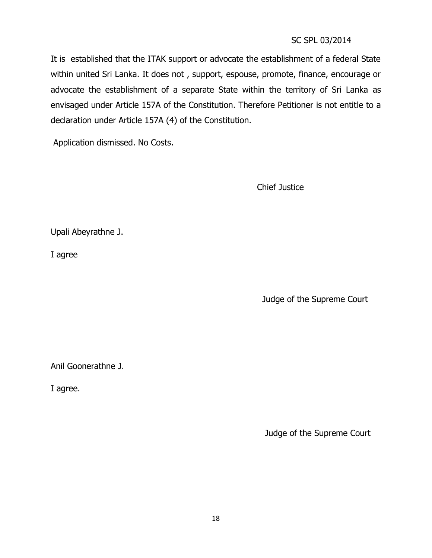It is established that the ITAK support or advocate the establishment of a federal State within united Sri Lanka. It does not , support, espouse, promote, finance, encourage or advocate the establishment of a separate State within the territory of Sri Lanka as envisaged under Article 157A of the Constitution. Therefore Petitioner is not entitle to a declaration under Article 157A (4) of the Constitution.

Application dismissed. No Costs.

Chief Justice

Upali Abeyrathne J.

I agree

Judge of the Supreme Court

Anil Goonerathne J.

I agree.

Judge of the Supreme Court